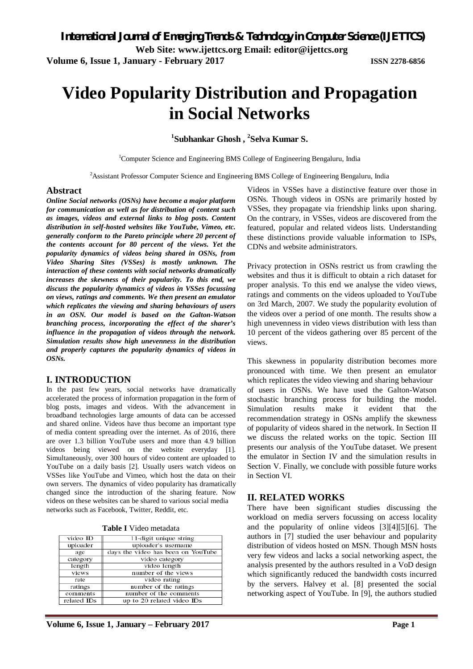# **Video Popularity Distribution and Propagation in Social Networks**

**1 Subhankar Ghosh , <sup>2</sup> Selva Kumar S.**

<sup>1</sup>Computer Science and Engineering BMS College of Engineering Bengaluru, India

<sup>2</sup>Assistant Professor Computer Science and Engineering BMS College of Engineering Bengaluru, India

#### **Abstract**

*Online Social networks (OSNs) have become a major platform for communication as well as for distribution of content such as images, videos and external links to blog posts. Content distribution in self-hosted websites like YouTube, Vimeo, etc. generally conform to the Pareto principle where 20 percent of the contents account for 80 percent of the views. Yet the popularity dynamics of videos being shared in OSNs, from Video Sharing Sites (VSSes) is mostly unknown. The interaction of these contents with social networks dramatically increases the skewness of their popularity. To this end, we discuss the popularity dynamics of videos in VSSes focussing on views, ratings and comments. We then present an emulator which replicates the viewing and sharing behaviours of users in an OSN. Our model is based on the Galton-Watson branching process, incorporating the effect of the sharer's influence in the propagation of videos through the network. Simulation results show high unevenness in the distribution and properly captures the popularity dynamics of videos in OSNs.*

#### **I. INTRODUCTION**

In the past few years, social networks have dramatically accelerated the process of information propagation in the form of blog posts, images and videos. With the advancement in broadband technologies large amounts of data can be accessed and shared online. Videos have thus become an important type of media content spreading over the internet. As of 2016, there are over 1.3 billion YouTube users and more than 4.9 billion videos being viewed on the website everyday [1]. Simultaneously, over 300 hours of video content are uploaded to YouTube on a daily basis [2]. Usually users watch videos on VSSes like YouTube and Vimeo, which host the data on their own servers. The dynamics of video popularity has dramatically changed since the introduction of the sharing feature. Now videos on these websites can be shared to various social media networks such as Facebook, Twitter, Reddit, etc.

| <b>Table I</b> Video metadata |
|-------------------------------|
|-------------------------------|

| video ID    | 11-digit unique string             |
|-------------|------------------------------------|
| uploader    | uploader's username                |
| age         | days the video has been on YouTube |
| category    | video category                     |
| length      | video length                       |
| views       | number of the views                |
| rate        | video rating                       |
| ratings     | number of the ratings              |
| comments    | number of the comments             |
| related IDs | up to 20 related video IDs         |

Videos in VSSes have a distinctive feature over those in OSNs. Though videos in OSNs are primarily hosted by VSSes, they propagate via friendship links upon sharing. On the contrary, in VSSes, videos are discovered from the featured, popular and related videos lists. Understanding these distinctions provide valuable information to ISPs, CDNs and website administrators.

Privacy protection in OSNs restrict us from crawling the websites and thus it is difficult to obtain a rich dataset for proper analysis. To this end we analyse the video views, ratings and comments on the videos uploaded to YouTube on 3rd March, 2007. We study the popularity evolution of the videos over a period of one month. The results show a high unevenness in video views distribution with less than 10 percent of the videos gathering over 85 percent of the views.

This skewness in popularity distribution becomes more pronounced with time. We then present an emulator which replicates the video viewing and sharing behaviour of users in OSNs. We have used the Galton-Watson stochastic branching process for building the model. Simulation results make it evident that the recommendation strategy in OSNs amplify the skewness of popularity of videos shared in the network. In Section II we discuss the related works on the topic. Section III presents our analysis of the YouTube dataset. We present the emulator in Section IV and the simulation results in Section V. Finally, we conclude with possible future works in Section VI.

#### **II. RELATED WORKS**

There have been significant studies discussing the workload on media servers focussing on access locality and the popularity of online videos [3][4][5][6]. The authors in [7] studied the user behaviour and popularity distribution of videos hosted on MSN. Though MSN hosts very few videos and lacks a social networking aspect, the analysis presented by the authors resulted in a VoD design which significantly reduced the bandwidth costs incurred by the servers. Halvey et al. [8] presented the social networking aspect of YouTube. In [9], the authors studied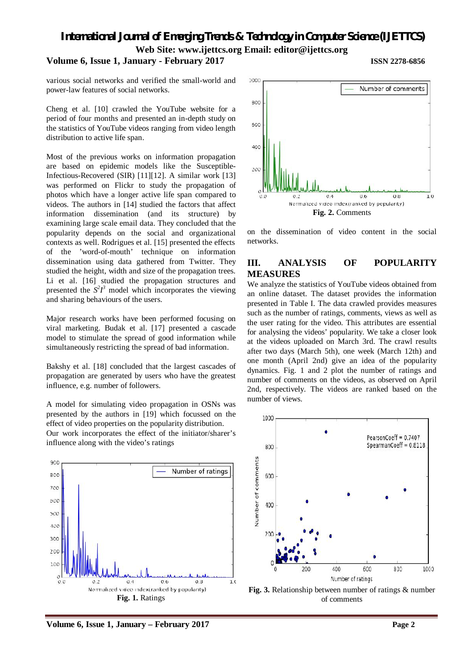*International Journal of Emerging Trends & Technology in Computer Science (IJETTCS)* **Web Site: www.ijettcs.org Email: editor@ijettcs.org** 

#### **Volume 6, Issue 1, January - February 2017 ISSN 2278-6856**

various social networks and verified the small-world and power-law features of social networks.

Cheng et al. [10] crawled the YouTube website for a period of four months and presented an in-depth study on the statistics of YouTube videos ranging from video length distribution to active life span.

Most of the previous works on information propagation are based on epidemic models like the Susceptible-Infectious-Recovered (SIR) [11][12]. A similar work [13] was performed on Flickr to study the propagation of photos which have a longer active life span compared to videos. The authors in [14] studied the factors that affect information dissemination (and its structure) by examining large scale email data. They concluded that the popularity depends on the social and organizational contexts as well. Rodrigues et al. [15] presented the effects of the 'word-of-mouth' technique on information dissemination using data gathered from Twitter. They studied the height, width and size of the propagation trees. Li et al. [16] studied the propagation structures and presented the  $S^2I^3$  model which incorporates the viewing and sharing behaviours of the users.

Major research works have been performed focusing on viral marketing. Budak et al. [17] presented a cascade model to stimulate the spread of good information while simultaneously restricting the spread of bad information.

Bakshy et al. [18] concluded that the largest cascades of propagation are generated by users who have the greatest influence, e.g. number of followers.

A model for simulating video propagation in OSNs was presented by the authors in [19] which focussed on the effect of video properties on the popularity distribution. Our work incorporates the effect of the initiator/sharer's influence along with the video's ratings





on the dissemination of video content in the social networks.

### **III. ANALYSIS OF POPULARITY MEASURES**

We analyze the statistics of YouTube videos obtained from an online dataset. The dataset provides the information presented in Table I. The data crawled provides measures such as the number of ratings, comments, views as well as the user rating for the video. This attributes are essential for analysing the videos' popularity. We take a closer look at the videos uploaded on March 3rd. The crawl results after two days (March 5th), one week (March 12th) and one month (April 2nd) give an idea of the popularity dynamics. Fig. 1 and 2 plot the number of ratings and number of comments on the videos, as observed on April 2nd, respectively. The videos are ranked based on the number of views.





**Volume 6, Issue 1, January – February 2017 Page 2**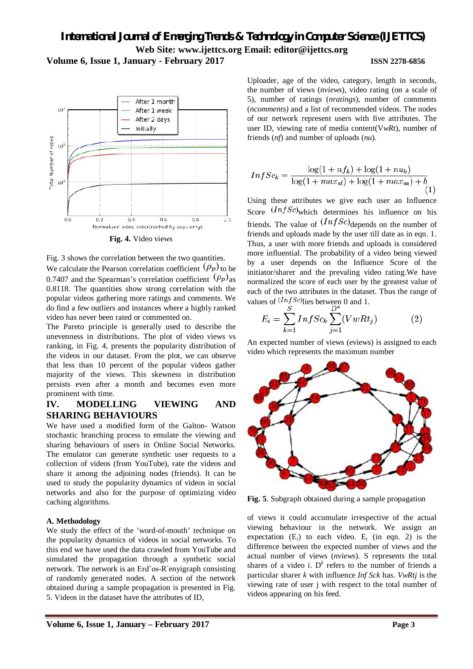# *International Journal of Emerging Trends & Technology in Computer Science (IJETTCS)* **Web Site: www.ijettcs.org Email: editor@ijettcs.org Volume 6, Issue 1, January - February 2017 ISSN 2278-6856**



Fig. 3 shows the correlation between the two quantities. We calculate the Pearson correlation coefficient  $(\rho_p)$  to be 0.7407 and the Spearman's correlation coefficient  $(\rho_p)$  as 0.8118. The quantities show strong correlation with the popular videos gathering more ratings and comments. We do find a few outliers and instances where a highly ranked video has never been rated or commented on.

The Pareto principle is generally used to describe the unevenness in distributions. The plot of video views vs ranking, in Fig. 4, presents the popularity distribution of the videos in our dataset. From the plot, we can observe that less than 10 percent of the popular videos gather majority of the views. This skewness in distribution persists even after a month and becomes even more prominent with time.

### **IV. MODELLING VIEWING AND SHARING BEHAVIOURS**

We have used a modified form of the Galton- Watson stochastic branching process to emulate the viewing and sharing behaviours of users in Online Social Networks. The emulator can generate synthetic user requests to a collection of videos (from YouTube), rate the videos and share it among the adjoining nodes (friends). It can be used to study the popularity dynamics of videos in social networks and also for the purpose of optimizing video caching algorithms.

#### **A. Methodology**

We study the effect of the 'word-of-mouth' technique on the popularity dynamics of videos in social networks. To this end we have used the data crawled from YouTube and simulated the propagation through a synthetic social network. The network is an Erd˝os-R´enyigraph consisting of randomly generated nodes. A section of the network obtained during a sample propagation is presented in Fig. 5. Videos in the dataset have the attributes of ID,

Uploader, age of the video, category, length in seconds, the number of views (*nviews*), video rating (on a scale of 5), number of ratings (*nratings*), number of comments (*ncomments)* and a list of recommended videos. The nodes of our network represent users with five attributes. The user ID, viewing rate of media content(V*wRt*), number of friends (*nf*) and number of uploads (*nu*).

$$
InfSc_k = \frac{\log(1 + nf_k) + \log(1 + nu_k)}{\log(1 + max_{\text{nf}}) + \log(1 + max_{\text{nu}}) + b}
$$
\n(1)

Using these attributes we give each user an Influence Score  $(InfSc)$  which determines his influence on his friends. The value of  $(InfSc)$  depends on the number of friends and uploads made by the user till date as in eqn. 1. Thus, a user with more friends and uploads is considered more influential. The probability of a video being viewed by a user depends on the Influence Score of the initiator/sharer and the prevaling video rating.We have normalized the score of each user by the greatest value of each of the two attributes in the dataset. Thus the range of values of  $(InfSc)$  lies between 0 and 1.

$$
E_i = \sum_{k=1}^{S} InfSc_k \sum_{j=1}^{D^*} (VwRt_j)
$$
 (2)

An expected number of views (eviews) is assigned to each video which represents the maximum number



**Fig. 5**. Subgraph obtained during a sample propagation

of views it could accumulate irrespective of the actual viewing behaviour in the network. We assign an expectation  $(E_i)$  to each video.  $E_i$  (in eqn. 2) is the difference between the expected number of views and the actual number of views (*nviews*). S represents the total shares of a video *i*.  $D<sup>k</sup>$  refers to the number of friends a particular sharer *k* with influence *Inf Sck* has. *VwRtj* is the viewing rate of user j with respect to the total number of videos appearing on his feed.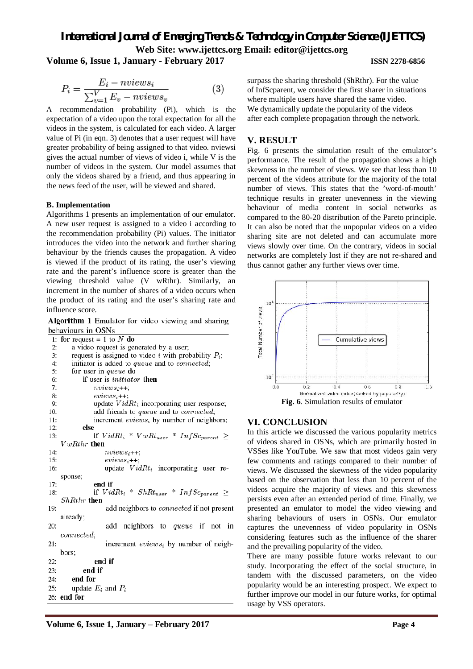## *International Journal of Emerging Trends & Technology in Computer Science (IJETTCS)* **Web Site: www.ijettcs.org Email: editor@ijettcs.org Volume 6, Issue 1, January - February 2017 ISSN 2278-6856**

$$
P_i = \frac{E_i - nviews_i}{\sum_{v=1}^{V} E_v - nviews_v}
$$
 (3)

A recommendation probability (Pi), which is the expectation of a video upon the total expectation for all the videos in the system, is calculated for each video. A larger value of Pi (in eqn. 3) denotes that a user request will have greater probability of being assigned to that video. nviewsi gives the actual number of views of video i, while V is the number of videos in the system. Our model assumes that only the videos shared by a friend, and thus appearing in the news feed of the user, will be viewed and shared.

#### **B. Implementation**

Algorithms 1 presents an implementation of our emulator. A new user request is assigned to a video i according to the recommendation probability (Pi) values. The initiator introduces the video into the network and further sharing behaviour by the friends causes the propagation. A video is viewed if the product of its rating, the user's viewing rate and the parent's influence score is greater than the viewing threshold value (V wRthr). Similarly, an increment in the number of shares of a video occurs when the product of its rating and the user's sharing rate and influence score.

| Algorithm 1 Emulator for video viewing and sharing            |  |  |
|---------------------------------------------------------------|--|--|
| behaviours in OSNs                                            |  |  |
| 1: for request = 1 to $N$ do                                  |  |  |
| a video request is generated by a user;<br>2:                 |  |  |
| request is assigned to video i with probability $P_i$ ;<br>3: |  |  |
| initiator is added to queue and to connected;<br>4:           |  |  |
| 5:<br>for user in queue do                                    |  |  |
| <b>if</b> user is <i>initiator</i> then<br>6:                 |  |  |
| 7:<br>$nviews_{i++}$                                          |  |  |
| 8:<br>$eviews_i++$                                            |  |  |
| update $VidRt_i$ incorporating user response;<br>9:           |  |  |
| add friends to queue and to connected;<br>10:                 |  |  |
| increment $eviews_i$ by number of neighbors;<br>11:           |  |  |
| else<br>12:                                                   |  |  |
| if $VidRt_i * VwRt_{user} * InfSc_{parent} \geq$<br>13:       |  |  |
| $VwRthr$ then                                                 |  |  |
| 14:<br>$nviews_i++$                                           |  |  |
| 15:<br>$eviews_i++$ ;                                         |  |  |
| update $VidRt_i$ incorporating user re-<br>16:                |  |  |
| sponse;                                                       |  |  |
| end if<br>17:                                                 |  |  |
| if $VidRt_i * ShRt_{user} * InfSc_{parent} \geq$<br>18:       |  |  |
| $ShRthr$ then                                                 |  |  |
| add neighbors to <i>connected</i> if not present<br>19:       |  |  |
| already;                                                      |  |  |
| add neighbors to <i>queue</i> if not in<br>20:                |  |  |
| <i>connected</i> .                                            |  |  |
| increment $eviews_i$ by number of neigh-<br>21:               |  |  |
| bors;                                                         |  |  |
| end if<br>22:                                                 |  |  |
| end if<br>23:                                                 |  |  |
| end for<br>24:                                                |  |  |
| update $E_i$ and $P_i$<br>25:                                 |  |  |
| $26:$ end for                                                 |  |  |
|                                                               |  |  |

surpass the sharing threshold (ShRthr). For the value of InfScparent, we consider the first sharer in situations where multiple users have shared the same video. We dynamically update the popularity of the videos after each complete propagation through the network.

#### **V. RESULT**

Fig. 6 presents the simulation result of the emulator's performance. The result of the propagation shows a high skewness in the number of views. We see that less than 10 percent of the videos attribute for the majority of the total number of views. This states that the 'word-of-mouth' technique results in greater unevenness in the viewing behaviour of media content in social networks as compared to the 80-20 distribution of the Pareto principle. It can also be noted that the unpopular videos on a video sharing site are not deleted and can accumulate more views slowly over time. On the contrary, videos in social networks are completely lost if they are not re-shared and thus cannot gather any further views over time.



#### **VI. CONCLUSION**

In this article we discussed the various popularity metrics of videos shared in OSNs, which are primarily hosted in VSSes like YouTube. We saw that most videos gain very few comments and ratings compared to their number of views. We discussed the skewness of the video popularity based on the observation that less than 10 percent of the videos acquire the majority of views and this skewness persists even after an extended period of time. Finally, we presented an emulator to model the video viewing and sharing behaviours of users in OSNs. Our emulator captures the unevenness of video popularity in OSNs considering features such as the influence of the sharer and the prevailing popularity of the video.

There are many possible future works relevant to our study. Incorporating the effect of the social structure, in tandem with the discussed parameters, on the video popularity would be an interesting prospect. We expect to further improve our model in our future works, for optimal usage by VSS operators.